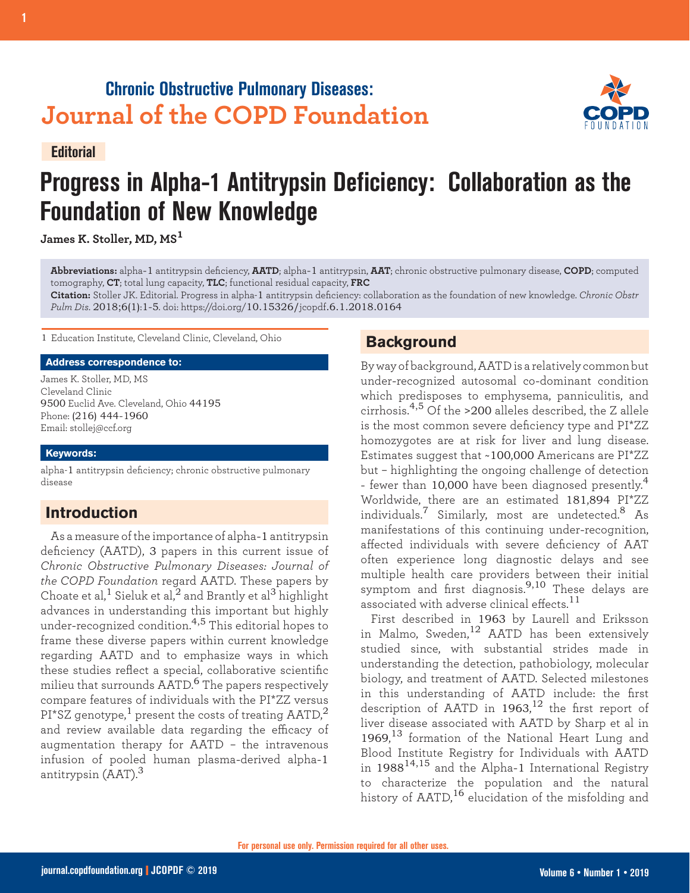## **Chronic Obstructive Pulmonary Diseases: Journal of the COPD Foundation**





# **Progress in Alpha-1 Antitrypsin Deficiency: Collaboration as the Foundation of New Knowledge**

**James K. Stoller, MD, MS<sup>1</sup>**

**Abbreviations:** alpha-1 antitrypsin deficiency, **AATD**; alpha-1 antitrypsin, **AAT**; chronic obstructive pulmonary disease, **COPD**; computed tomography, **CT**; total lung capacity, **TLC**; functional residual capacity, **FRC**

**Citation:** Stoller JK. Editorial. Progress in alpha-1 antitrypsin deficiency: collaboration as the foundation of new knowledge. *Chronic Obstr Pulm Dis*. 2018;6(1):1-5. doi: https://doi.org/10.15326/jcopdf.6.1.2018.0164

1 Education Institute, Cleveland Clinic, Cleveland, Ohio

#### **Address correspondence to:**

James K. Stoller, MD, MS Cleveland Clinic 9500 Euclid Ave. Cleveland, Ohio 44195 Phone: (216) 444-1960 Email: stollej@ccf.org

#### **Keywords:**

alpha-1 antitrypsin deficiency; chronic obstructive pulmonary disease

### **Introduction**

As a measure of the importance of alpha-1 antitrypsin deficiency (AATD), 3 papers in this current issue of *Chronic Obstructive Pulmonary Diseases: Journal of the COPD Foundation* regard AATD. These papers by Choate et al,<sup>1</sup> Sieluk et al,<sup>2</sup> and Brantly et al<sup>3</sup> highlight advances in understanding this important but highly under-recognized condition.4,5 This editorial hopes to frame these diverse papers within current knowledge regarding AATD and to emphasize ways in which these studies reflect a special, collaborative scientific milieu that surrounds AATD.6 The papers respectively compare features of individuals with the PI\*ZZ versus  $PI*SZ$  genotype,<sup>1</sup> present the costs of treating AATD,<sup>2</sup> and review available data regarding the efficacy of augmentation therapy for AATD – the intravenous infusion of pooled human plasma-derived alpha-1 antitrypsin (AAT).<sup>3</sup>

## **Background**

By way of background, AATD is a relatively common but under-recognized autosomal co-dominant condition which predisposes to emphysema, panniculitis, and cirrhosis.4,5 Of the >200 alleles described, the Z allele is the most common severe deficiency type and PI\*ZZ homozygotes are at risk for liver and lung disease. Estimates suggest that ~100,000 Americans are PI\*ZZ but – highlighting the ongoing challenge of detection - fewer than 10,000 have been diagnosed presently.<sup>4</sup> Worldwide, there are an estimated 181,894 PI\*ZZ individuals.7 Similarly, most are undetected.8 As manifestations of this continuing under-recognition, affected individuals with severe deficiency of AAT often experience long diagnostic delays and see multiple health care providers between their initial symptom and first diagnosis.9,10 These delays are associated with adverse clinical effects.<sup>11</sup>

First described in 1963 by Laurell and Eriksson in Malmo, Sweden, $^{12}$  AATD has been extensively studied since, with substantial strides made in understanding the detection, pathobiology, molecular biology, and treatment of AATD. Selected milestones in this understanding of AATD include: the first description of AATD in 1963, $^{12}$  the first report of liver disease associated with AATD by Sharp et al in 1969, <sup>13</sup> formation of the National Heart Lung and Blood Institute Registry for Individuals with AATD in  $1988^{14,15}$  and the Alpha-1 International Registry to characterize the population and the natural history of  $AATD<sup>16</sup>$  elucidation of the misfolding and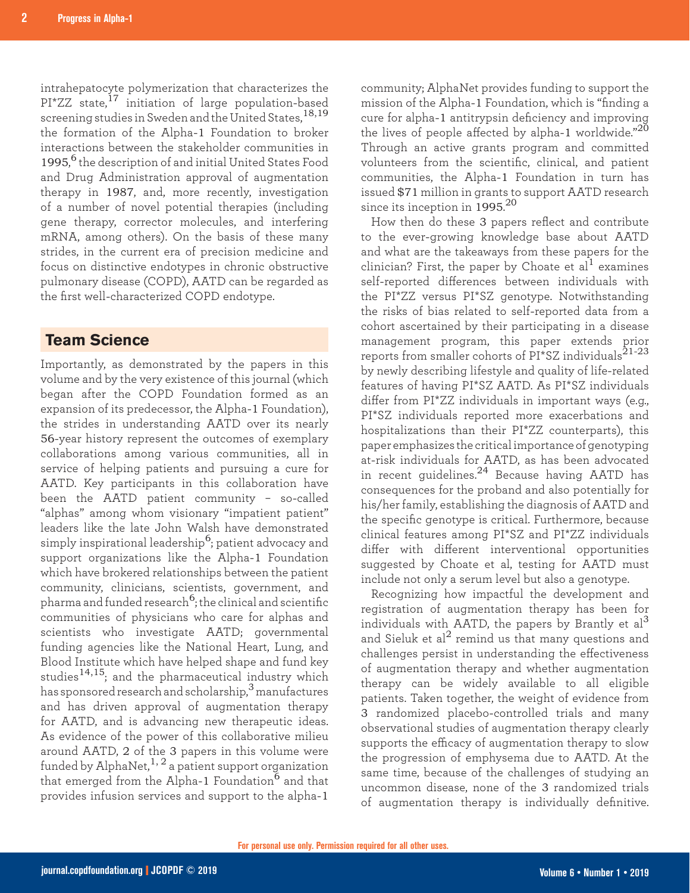intrahepatocyte polymerization that characterizes the PI\*ZZ state,<sup>17</sup> initiation of large population-based screening studies in Sweden and the United States,18,19 the formation of the Alpha-1 Foundation to broker interactions between the stakeholder communities in 1995, <sup>6</sup> the description of and initial United States Food and Drug Administration approval of augmentation therapy in 1987, and, more recently, investigation of a number of novel potential therapies (including gene therapy, corrector molecules, and interfering mRNA, among others). On the basis of these many strides, in the current era of precision medicine and focus on distinctive endotypes in chronic obstructive pulmonary disease (COPD), AATD can be regarded as the first well-characterized COPD endotype.

#### **Team Science**

Importantly, as demonstrated by the papers in this volume and by the very existence of this journal (which began after the COPD Foundation formed as an expansion of its predecessor, the Alpha-1 Foundation), the strides in understanding AATD over its nearly 56-year history represent the outcomes of exemplary collaborations among various communities, all in service of helping patients and pursuing a cure for AATD. Key participants in this collaboration have been the AATD patient community – so-called "alphas" among whom visionary "impatient patient" leaders like the late John Walsh have demonstrated simply inspirational leadership $^6$ ; patient advocacy and support organizations like the Alpha-1 Foundation which have brokered relationships between the patient community, clinicians, scientists, government, and pharma and funded research<sup>6</sup>; the clinical and scientific communities of physicians who care for alphas and scientists who investigate AATD; governmental funding agencies like the National Heart, Lung, and Blood Institute which have helped shape and fund key studies<sup>14,15</sup>; and the pharmaceutical industry which has sponsored research and scholarship,3 manufactures and has driven approval of augmentation therapy for AATD, and is advancing new therapeutic ideas. As evidence of the power of this collaborative milieu around AATD, 2 of the 3 papers in this volume were funded by AlphaNet,  $1, 2$  a patient support organization that emerged from the Alpha-1 Foundation<sup>6</sup> and that provides infusion services and support to the alpha-1

community; AlphaNet provides funding to support the mission of the Alpha-1 Foundation, which is "finding a cure for alpha-1 antitrypsin deficiency and improving the lives of people affected by alpha-1 worldwide." $^{20}$ Through an active grants program and committed volunteers from the scientific, clinical, and patient communities, the Alpha-1 Foundation in turn has issued \$71 million in grants to support AATD research since its inception in  $1995.^{20}$ 

How then do these 3 papers reflect and contribute to the ever-growing knowledge base about AATD and what are the takeaways from these papers for the clinician? First, the paper by Choate et al<sup>1</sup> examines self-reported differences between individuals with the PI\*ZZ versus PI\*SZ genotype. Notwithstanding the risks of bias related to self-reported data from a cohort ascertained by their participating in a disease management program, this paper extends prior reports from smaller cohorts of PI\*SZ individuals<sup>21-23</sup> by newly describing lifestyle and quality of life-related features of having PI\*SZ AATD. As PI\*SZ individuals differ from PI\*ZZ individuals in important ways (e.g., PI\*SZ individuals reported more exacerbations and hospitalizations than their PI\*ZZ counterparts), this paper emphasizes the critical importance of genotyping at-risk individuals for AATD, as has been advocated in recent guidelines.24 Because having AATD has consequences for the proband and also potentially for his/her family, establishing the diagnosis of AATD and the specific genotype is critical. Furthermore, because clinical features among PI\*SZ and PI\*ZZ individuals differ with different interventional opportunities suggested by Choate et al, testing for AATD must include not only a serum level but also a genotype.

Recognizing how impactful the development and registration of augmentation therapy has been for individuals with AATD, the papers by Brantly et  $al<sup>3</sup>$ and Sieluk et  $al^2$  remind us that many questions and challenges persist in understanding the effectiveness of augmentation therapy and whether augmentation therapy can be widely available to all eligible patients. Taken together, the weight of evidence from 3 randomized placebo-controlled trials and many observational studies of augmentation therapy clearly supports the efficacy of augmentation therapy to slow the progression of emphysema due to AATD. At the same time, because of the challenges of studying an uncommon disease, none of the 3 randomized trials of augmentation therapy is individually definitive.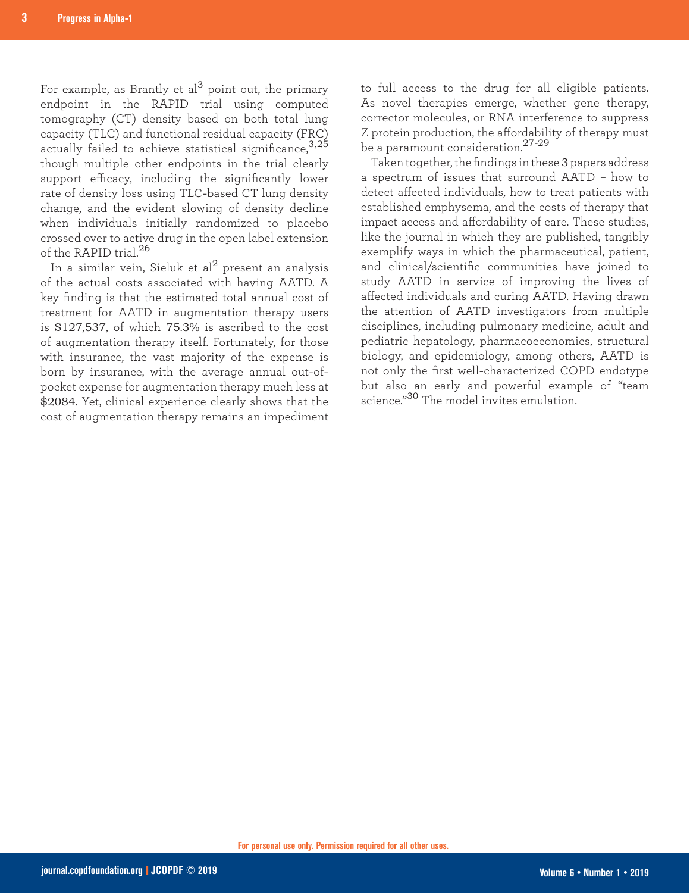For example, as Brantly et al<sup>3</sup> point out, the primary endpoint in the RAPID trial using computed tomography (CT) density based on both total lung capacity (TLC) and functional residual capacity (FRC) actually failed to achieve statistical significance,  $3.25$ though multiple other endpoints in the trial clearly support efficacy, including the significantly lower rate of density loss using TLC-based CT lung density change, and the evident slowing of density decline when individuals initially randomized to placebo crossed over to active drug in the open label extension of the RAPID trial.<sup>26</sup>

In a similar vein, Sieluk et al $^2$  present an analysis of the actual costs associated with having AATD. A key finding is that the estimated total annual cost of treatment for AATD in augmentation therapy users is \$127,537, of which 75.3% is ascribed to the cost of augmentation therapy itself. Fortunately, for those with insurance, the vast majority of the expense is born by insurance, with the average annual out-ofpocket expense for augmentation therapy much less at \$2084. Yet, clinical experience clearly shows that the cost of augmentation therapy remains an impediment

to full access to the drug for all eligible patients. As novel therapies emerge, whether gene therapy, corrector molecules, or RNA interference to suppress Z protein production, the affordability of therapy must be a paramount consideration.27-29

Taken together, the findings in these 3 papers address a spectrum of issues that surround AATD – how to detect affected individuals, how to treat patients with established emphysema, and the costs of therapy that impact access and affordability of care. These studies, like the journal in which they are published, tangibly exemplify ways in which the pharmaceutical, patient, and clinical/scientific communities have joined to study AATD in service of improving the lives of affected individuals and curing AATD. Having drawn the attention of AATD investigators from multiple disciplines, including pulmonary medicine, adult and pediatric hepatology, pharmacoeconomics, structural biology, and epidemiology, among others, AATD is not only the first well-characterized COPD endotype but also an early and powerful example of "team science."30 The model invites emulation.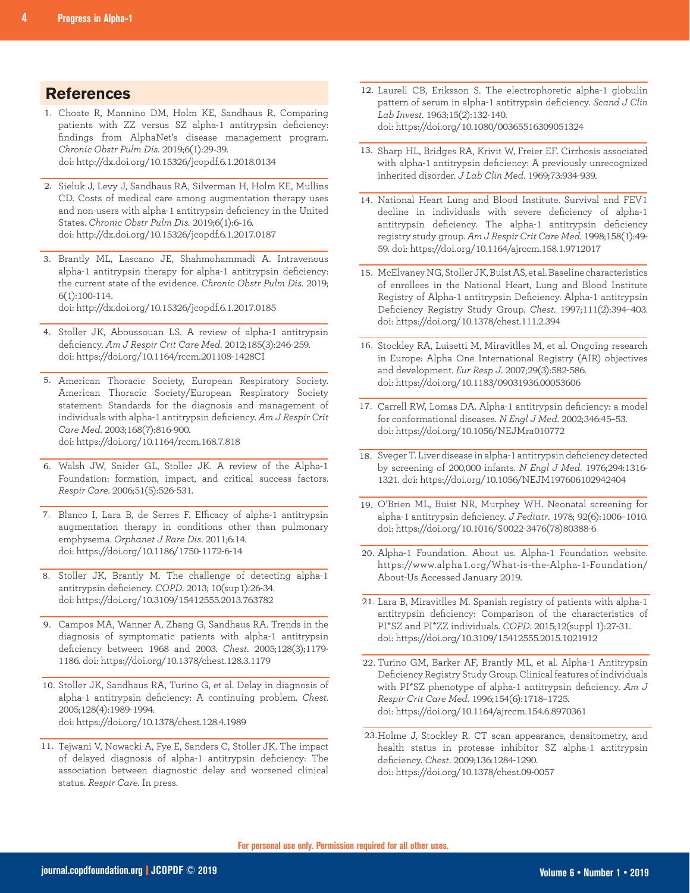### **References**

- Choate R, Mannino DM, Holm KE, Sandhaus R. Comparing 1. patients with ZZ versus SZ alpha-1 antitrypsin deficiency: findings from AlphaNet's disease management program. *Chronic Obstr Pulm Dis.* 2019;6(1):29-39. doi: http://dx.doi.org/10.15326/jcopdf.6.1.2018.0134
- 2. Sieluk J, Levy J, Sandhaus RA, Silverman H, Holm KE, Mullins CD. Costs of medical care among augmentation therapy uses and non-users with alpha-1 antitrypsin deficiency in the United States. *Chronic Obstr Pulm Dis.* 2019;6(1):6-16. doi: http://dx.doi.org/10.15326/jcopdf.6.1.2017.0187
- 3. Brantly ML, Lascano JE, Shahmohammadi A. Intravenous alpha-1 antitrypsin therapy for alpha-1 antitrypsin deficiency: the current state of the evidence. *Chronic Obstr Pulm Dis*. 2019; 6(1):100-114. doi: http://dx.doi.org/10.15326/jcopdf.6.1.2017.0185
- 4. Stoller JK, Aboussouan LS. A review of alpha-1 antitrypsin deficiency. *Am J Respir Crit Care Med*. 2012;185(3):246-259. doi: https://doi.org/10.1164/rccm.201108-1428CI
- 5. American Thoracic Society, European Respiratory Society. American Thoracic Society/European Respiratory Society statement: Standards for the diagnosis and management of individuals with alpha-1 antitrypsin deficiency. *Am J Respir Crit Care Med*. 2003;168(7):816-900. doi: https://doi.org/10.1164/rccm.168.7.818
- Walsh JW, Snider GL, Stoller JK. A review of the Alpha-1 6. Foundation: formation, impact, and critical success factors. *Respir Care*. 2006;51(5):526-531.
- 7. Blanco I, Lara B, de Serres F. Efficacy of alpha-1 antitrypsin augmentation therapy in conditions other than pulmonary emphysema. *Orphanet J Rare Dis*. 2011;6:14. doi: https://doi.org/10.1186/1750-1172-6-14
- 8. Stoller JK, Brantly M. The challenge of detecting alpha-1 antitrypsin deficiency. *COPD*. 2013; 10(sup1):26-34. doi: https://doi.org/10.3109/15412555.2013.763782
- Campos MA, Wanner A, Zhang G, Sandhaus RA. Trends in the 9. diagnosis of symptomatic patients with alpha-1 antitrypsin deficiency between 1968 and 2003. *Chest*. 2005;128(3);1179- 1186. doi: https://doi.org/10.1378/chest.128.3.1179
- 10. Stoller JK, Sandhaus RA, Turino G, et al. Delay in diagnosis of alpha-1 antitrypsin deficiency: A continuing problem. *Chest*. 2005;128(4):1989-1994. doi: https://doi.org/10.1378/chest.128.4.1989
- 11. Tejwani V, Nowacki A, Fye E, Sanders C, Stoller JK. The impact of delayed diagnosis of alpha-1 antitrypsin deficiency: The association between diagnostic delay and worsened clinical status. *Respir Care.* In press.
- 12. Laurell CB, Eriksson S. The electrophoretic alpha-1 globulin pattern of serum in alpha-1 antitrypsin deficiency. *Scand J Clin Lab Invest*. 1963;15(2):132-140. doi: https://doi.org/10.1080/00365516309051324
- 13. Sharp HL, Bridges RA, Krivit W, Freier EF. Cirrhosis associated with alpha-1 antitrypsin deficiency: A previously unrecognized inherited disorder. *J Lab Clin Med*. 1969;73:934-939.
- 14. National Heart Lung and Blood Institute. Survival and FEV1 decline in individuals with severe deficiency of alpha-1 antitrypsin deficiency. The alpha-1 antitrypsin deficiency registry study group. *Am J Respir Crit Care Med*. 1998;158(1):49- 59. doi: https://doi.org/10.1164/ajrccm.158.1.9712017
- McElvaney NG, Stoller JK, Buist AS, et al. Baseline characteristics 15. of enrollees in the National Heart, Lung and Blood Institute Registry of Alpha-1 antitrypsin Deficiency. Alpha-1 antitrypsin Deficiency Registry Study Group. *Chest*. 1997;111(2):394–403. doi: https://doi.org/10.1378/chest.111.2.394
- 16. Stockley RA, Luisetti M, Miravitlles M, et al. Ongoing research in Europe: Alpha One International Registry (AIR) objectives and development. *Eur Resp J*. 2007;29(3):582-586. doi: https://doi.org/10.1183/09031936.00053606
- 17. Carrell RW, Lomas DA. Alpha-1 antitrypsin deficiency: a model for conformational diseases. *N Engl J Med*. 2002;346:45–53. doi: https://doi.org/10.1056/NEJMra010772
- 18. Sveger T. Liver disease in alpha-1 antitrypsin deficiency detected by screening of 200,000 infants. *N Engl J Med*. 1976;294:1316- 1321. doi: https://doi.org/10.1056/NEJM197606102942404
- O'Brien ML, Buist NR, Murphey WH. Neonatal screening for 19. alpha-1 antitrypsin deficiency. *J Pediatr*. 1978; 92(6):1006–1010. doi: https://doi.org/10.1016/S0022-3476(78)80388-6
- 20. Alpha-1 Foundation. About us. Alpha-1 Foundation website. https://www.alpha1.org/What-is-the-Alpha-1-Foundation/ About-Us Accessed January 2019.
- Lara B, Miravitlles M. Spanish registry of patients with alpha-1 21. antitrypsin deficiency: Comparison of the characteristics of PI\*SZ and PI\*ZZ individuals. *COPD*. 2015;12(suppl 1):27-31. doi: https://doi.org/10.3109/15412555.2015.1021912
- Turino GM, Barker AF, Brantly ML, et al. Alpha-1 Antitrypsin 22. Deficiency Registry Study Group. Clinical features of individuals with PI\*SZ phenotype of alpha-1 antitrypsin deficiency. *Am J Respir Crit Care Med*. 1996;154(6):1718–1725. doi: https://doi.org/10.1164/ajrccm.154.6.8970361
- 23. Holme J, Stockley R. CT scan appearance, densitometry, and health status in protease inhibitor SZ alpha-1 antitrypsin deficiency. *Chest*. 2009;136:1284-1290. doi: https://doi.org/10.1378/chest.09-0057